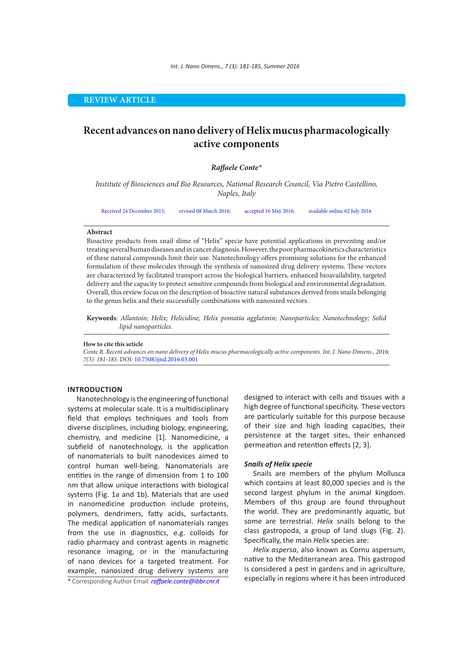## **REVIEW ARTICLE**

# **Recent advances on nano delivery of Helix mucus pharmacologically active components**

## *Raffaele Conte\**

*Institute of Biosciences and Bio Resources, National Research Council, Via Pietro Castellino, Naples, Italy*

Received 24 December 2015; revised 08 March 2016; accepted 16 May 2016; available online 02 July 2016

#### **Abstract**

Bioactive products from snail slime of "Helix" specie have potential applications in preventing and/or treating several human diseases and in cancer diagnosis. However, the poor pharmacokinetics characteristics of these natural compounds limit their use. Nanotechnology offers promising solutions for the enhanced formulation of these molecules through the synthesis of nanosized drug delivery systems. These vectors are characterized by facilitated transport across the biological barriers, enhanced bioavailability, targeted delivery and the capacity to protect sensitive compounds from biological and environmental degradation. Overall, this review focus on the description of bioactive natural substances derived from snails belonging to the genus helix and their successfully combinations with nanosized vectors.

**Keywords**: *Allantoin; Helix; Helicidine; Helix pomatia agglutinin; Nanoparticles; Nanotechnology; Solid lipid nanoparticles.*

## **How to cite this article**

*Conte R. Recent advances on nano delivery of Helix mucus pharmacologically active components. Int. J. Nano Dimens., 2016; 7(3): 181-185.* DOI: 10.7508/ijnd.2016.03.001

#### **INTRODUCTION**

Nanotechnology is the engineering of functional systems at molecular scale. It is a multidisciplinary field that employs techniques and tools from diverse disciplines, including biology, engineering, chemistry, and medicine [1]. Nanomedicine, a subfield of nanotechnology, is the application of nanomaterials to built nanodevices aimed to control human well-being. Nanomaterials are entities in the range of dimension from 1 to 100 nm that allow unique interactions with biological systems (Fig. 1a and 1b). Materials that are used in nanomedicine production include proteins, polymers, dendrimers, fatty acids, surfactants. The medical application of nanomaterials ranges from the use in diagnostics, e.g. colloids for radio pharmacy and contrast agents in magnetic resonance imaging, or in the manufacturing of nano devices for a targeted treatment. For example, nanosized drug delivery systems are

\* Corresponding Author Email: *raffaele.conte@ibbr.cnr.it*

designed to interact with cells and tissues with a high degree of functional specificity. These vectors are particularly suitable for this purpose because of their size and high loading capacities, their persistence at the target sites, their enhanced permeation and retention effects [2, 3].

#### *Snails of Helix specie*

Snails are members of the phylum Mollusca which contains at least 80,000 species and is the second largest phylum in the animal kingdom. Members of this group are found throughout the world. They are predominantly aquatic, but some are terrestrial. *Helix* snails belong to the class gastropoda, a group of land slugs (Fig. 2). Specifically, the main *Helix* species are:

*Helix aspersa*, also known as Cornu aspersum, native to the Mediterranean area. This gastropod is considered a pest in gardens and in agriculture, especially in regions where it has been introduced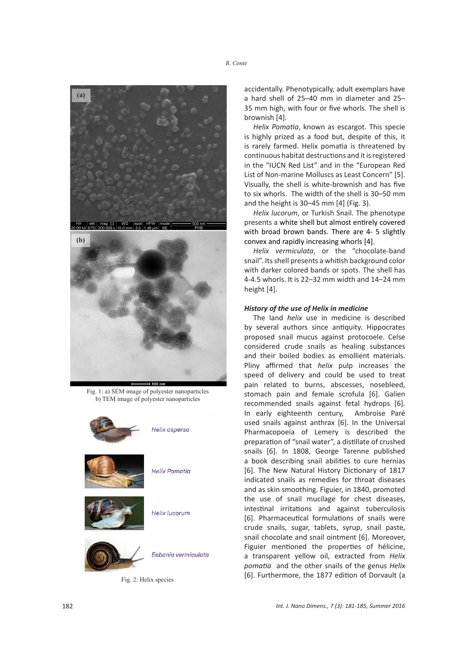



Fig. 1: a) SEM image of polyester nanoparticles Fig. 1: a) SEM image of polyester nanoparticles b) TEM image of polyester nanoparticles b) TEM image of polyester nanoparticles



Fig. 2: Helix species

accidentally. Phenotypically, adult exemplars have a hard shell of 25–40 mm in diameter and 25– 35 mm high, with four or five whorls. The shell is brownish [4].

*Helix Pomatia*, known as escargot. This specie is highly prized as a food but, despite of this, it is rarely farmed. Helix pomatia is threatened by continuous habitat destructions and it is registered in the "IUCN Red List" and in the "European Red List of Non-marine Molluscs as Least Concern" [5]. Visually, the shell is white-brownish and has five to six whorls. The width of the shell is 30–50 mm and the height is 30–45 mm [4] (Fig. 3).

*Helix lucorum*, or Turkish Snail. The phenotype presents a white shell but almost entirely covered with broad brown bands. There are 4- 5 slightly convex and rapidly increasing whorls [4].

*Helix vermiculata*, or the "chocolate-band snail". Its shell presents a whitish background color with darker colored bands or spots. The shell has 4-4.5 whorls. It is 22–32 mm width and 14–24 mm height [4].

## *History of the use of Helix in medicine*

The land *helix* use in medicine is described by several authors since antiquity. Hippocrates proposed snail mucus against protocoele. Celse considered crude snails as healing substances and their boiled bodies as emollient materials. Pliny affirmed that *helix* pulp increases the speed of delivery and could be used to treat pain related to burns, abscesses, nosebleed, stomach pain and female scrofula [6]. Galien recommended snails against fetal hydrops [6]. In early eighteenth century, Ambroise Paré used snails against anthrax [6]. In the Universal Pharmacopoeia of Lemery is described the preparation of "snail water", a distillate of crushed snails [6]. In 1808, George Tarenne published a book describing snail abilities to cure hernias [6]. The New Natural History Dictionary of 1817 indicated snails as remedies for throat diseases and as skin smoothing. Figuier, in 1840, promoted the use of snail mucilage for chest diseases, intestinal irritations and against tuberculosis [6]. Pharmaceutical formulations of snails were crude snails, sugar, tablets, syrup, snail paste, snail chocolate and snail ointment [6]. Moreover, Figuier mentioned the properties of hélicine, a transparent yellow oil, extracted from *Helix pomatia* and the other snails of the genus *Helix*  [6]. Furthermore, the 1877 edition of Dorvault (a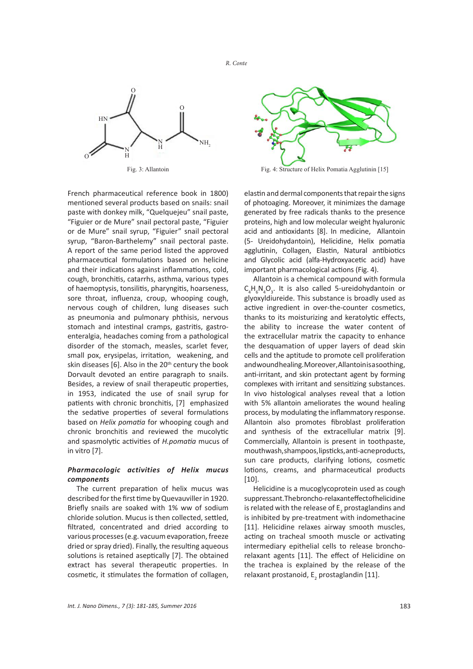

Fig. 3: Allantoin

French pharmaceutical reference book in 1800) mentioned several products based on snails: snail paste with donkey milk, "Quelquejeu" snail paste, "Figuier or de Mure" snail pectoral paste, "Figuier or de Mure" snail syrup, "Figuier" snail pectoral syrup, "Baron-Barthelemy" snail pectoral paste. A report of the same period listed the approved pharmaceutical formulations based on helicine and their indications against inflammations, cold, cough, bronchitis, catarrhs, asthma, various types of haemoptysis, tonsilitis, pharyngitis, hoarseness, sore throat, influenza, croup, whooping cough, nervous cough of children, lung diseases such as pneumonia and pulmonary phthisis, nervous stomach and intestinal cramps, gastritis, gastroenteralgia, headaches coming from a pathological disorder of the stomach, measles, scarlet fever, small pox, erysipelas, irritation, weakening, and skin diseases [6]. Also in the  $20<sup>th</sup>$  century the book Dorvault devoted an entire paragraph to snails. Besides, a review of snail therapeutic properties, in 1953, indicated the use of snail syrup for patients with chronic bronchitis, [7] emphasized the sedative properties of several formulations based on *Helix pomatia* for whooping cough and chronic bronchitis and reviewed the mucolytic and spasmolytic activities of *H.pomatia* mucus of in vitro [7].

## *Pharmacologic activities of Helix mucus components*

The current preparation of helix mucus was described for the first time by Quevauviller in 1920. Briefly snails are soaked with 1% ww of sodium chloride solution. Mucus is then collected, settled, filtrated, concentrated and dried according to various processes (e.g. vacuum evaporation, freeze dried or spray dried). Finally, the resulting aqueous solutions is retained aseptically [7]. The obtained extract has several therapeutic properties. In cosmetic, it stimulates the formation of collagen,



Fig. 4: Structure of Helix Pomatia Agglutinin [15]

elastin and dermal components that repair the signs of photoaging. Moreover, it minimizes the damage generated by free radicals thanks to the presence proteins, high and low molecular weight hyaluronic acid and antioxidants [8]. In medicine, Allantoin (5- Ureidohydantoin), Helicidine, Helix pomatia agglutinin, Collagen, Elastin, Natural antibiotics and Glycolic acid (alfa-Hydroxyacetic acid) have important pharmacological actions (Fig. 4).

Allantoin is a chemical compound with formula  $C_4H_6N_4O_3$ . It is also called 5-ureidohydantoin or glyoxyldiureide. This substance is broadly used as active ingredient in over-the-counter cosmetics, thanks to its moisturizing and keratolytic effects, the ability to increase the water content of the extracellular matrix the capacity to enhance the desquamation of upper layers of dead skin cells and the aptitude to promote cell proliferation andwound healing. Moreover, Allantoin is a soothing, anti-irritant, and skin protectant agent by forming complexes with irritant and sensitizing substances. In vivo histological analyses reveal that a lotion with 5% allantoin ameliorates the wound healing process, by modulating the inflammatory response. Allantoin also promotes fibroblast proliferation and synthesis of the extracellular matrix [9]. Commercially, Allantoin is present in toothpaste, mouthwash,shampoos,lipsticks, anti-acne products, sun care products, clarifying lotions, cosmetic lotions, creams, and pharmaceutical products [10].

Helicidine is a mucoglycoprotein used as cough suppressant. The broncho-relaxant effect of helicidine is related with the release of E<sub>2</sub> prostaglandins and is inhibited by pre-treatment with indomethacine [11]. Helicidine relaxes airway smooth muscles, acting on tracheal smooth muscle or activating intermediary epithelial cells to release bronchorelaxant agents [11]. The effect of Helicidine on the trachea is explained by the release of the relaxant prostanoid, E<sub>2</sub> prostaglandin [11].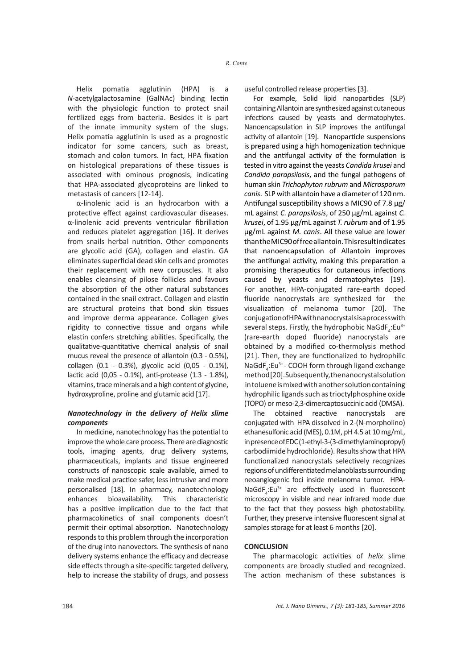Helix pomatia agglutinin (HPA) is a *N*-acetylgalactosamine (GalNAc) binding lectin with the physiologic function to protect snail fertilized eggs from bacteria. Besides it is part of the innate immunity system of the slugs. Helix pomatia agglutinin is used as a prognostic indicator for some cancers, such as breast, stomach and colon tumors. In fact, HPA fixation on histological preparations of these tissues is associated with ominous prognosis, indicating that HPA-associated glycoproteins are linked to metastasis of cancers [12-14].

α-linolenic acid is an hydrocarbon with a protective effect against cardiovascular diseases. α-linolenic acid prevents ventricular fibrillation and reduces platelet aggregation [16]. It derives from snails herbal nutrition. Other components are glycolic acid (GA), collagen and elastin. GA eliminates superficial dead skin cells and promotes their replacement with new corpuscles. It also enables cleansing of pilose follicles and favours the absorption of the other natural substances contained in the snail extract. Collagen and elastin are structural proteins that bond skin tissues and improve derma appearance. Collagen gives rigidity to connective tissue and organs while elastin confers stretching abilities. Specifically, the qualitative-quantitative chemical analysis of snail mucus reveal the presence of allantoin (0.3 - 0.5%), collagen (0.1 - 0.3%), glycolic acid (0,05 - 0.1%), lactic acid (0,05 - 0.1%), anti-protease (1.3 - 1.8%), vitamins, trace minerals and a high content of glycine, hydroxyproline, proline and glutamic acid [17].

## *Nanotechnology in the delivery of Helix slime components*

In medicine, nanotechnology has the potential to improve the whole care process. There are diagnostic tools, imaging agents, drug delivery systems, pharmaceuticals, implants and tissue engineered constructs of nanoscopic scale available, aimed to make medical practice safer, less intrusive and more personalised [18]. In pharmacy, nanotechnology enhances bioavailability. This characteristic has a positive implication due to the fact that pharmacokinetics of snail components doesn't permit their optimal absorption. Nanotechnology responds to this problem through the incorporation of the drug into nanovectors. The synthesis of nano delivery systems enhance the efficacy and decrease side effects through a site-specific targeted delivery, help to increase the stability of drugs, and possess

useful controlled release properties [3].

For example, Solid lipid nanoparticles (SLP) containing Allantoin are synthesized against cutaneous infections caused by yeasts and dermatophytes. Nanoencapsulation in SLP improves the antifungal activity of allantoin [19]. Nanoparticle suspensions is prepared using a high homogenization technique and the antifungal activity of the formulation is tested in vitro against the yeasts *Candida krusei* and *Candida parapsilosis*, and the fungal pathogens of human skin *Trichophyton rubrum* and *Microsporum canis*. SLP with allantoin have a diameter of 120 nm. Antifungal susceptibility shows a MIC90 of 7.8 μg/ mL against *C. parapsilosis*, of 250 μg/mL against *C. krusei*, of 1.95 μg/mL against *T. rubrum* and of 1.95 μg/mL against *M. canis*. All these value are lower than the MIC90 of free allantoin. This result indicates that nanoencapsulation of Allantoin improves the antifungal activity, making this preparation a promising therapeutics for cutaneous infections caused by yeasts and dermatophytes [19]. For another, HPA-conjugated rare-earth doped fluoride nanocrystals are synthesized for the visualization of melanoma tumor [20]. The conjugation of HPA with nanocrystals is a process with several steps. Firstly, the hydrophobic NaGdF<sub>4</sub>:Eu<sup>3+</sup> (rare-earth doped fluoride) nanocrystals are obtained by a modified co-thermolysis method [21]. Then, they are functionalized to hydrophilic NaGdF<sub>4</sub>:Eu<sup>3+</sup> - COOH form through ligand exchange method [20]. Subsequently, the nanocrystal solution in toluene is mixed with another solution containing hydrophilic ligands such as trioctylphosphine oxide (TOPO) or meso-2,3-dimercaptosuccinic acid (DMSA).

The obtained reactive nanocrystals are conjugated with HPA dissolved in 2-(N-morpholino) ethanesulfonic acid (MES), 0.1M, pH 4.5 at 10 mg/mL, in presence of EDC (1-ethyl-3-(3-dimethylaminopropyl) carbodiimide hydrochloride). Results show that HPA functionalized nanocrystals selectively recognizes regions of undifferentiated melanoblasts surrounding neoangiogenic foci inside melanoma tumor. HPA-NaGdF<sub>4</sub>:Eu<sup>3+</sup> are effectively used in fluorescent microscopy in visible and near infrared mode due to the fact that they possess high photostability. Further, they preserve intensive fluorescent signal at samples storage for at least 6 months [20].

## **CONCLUSION**

The pharmacologic activities of *helix* slime components are broadly studied and recognized. The action mechanism of these substances is